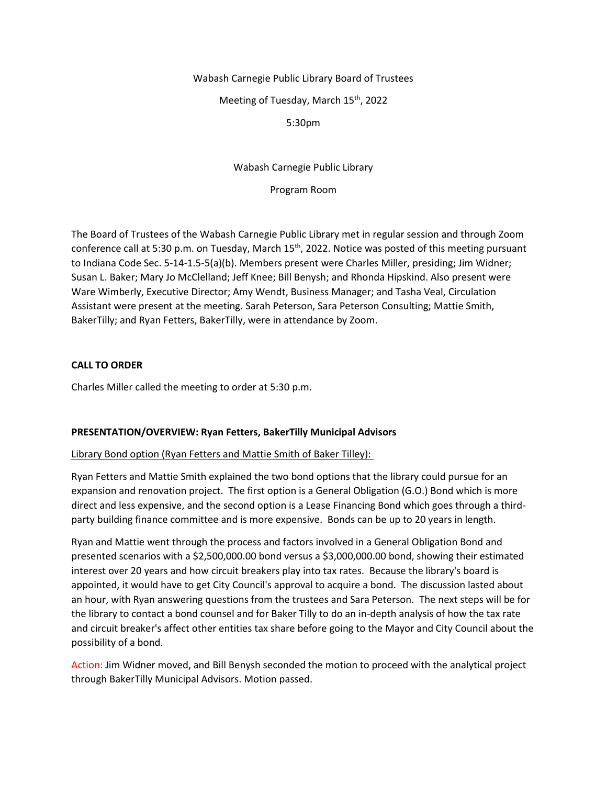# Wabash Carnegie Public Library Board of Trustees

Meeting of Tuesday, March 15<sup>th</sup>, 2022

# 5:30pm

# Wabash Carnegie Public Library

Program Room

The Board of Trustees of the Wabash Carnegie Public Library met in regular session and through Zoom conference call at 5:30 p.m. on Tuesday, March 15<sup>th</sup>, 2022. Notice was posted of this meeting pursuant to Indiana Code Sec. 5-14-1.5-5(a)(b). Members present were Charles Miller, presiding; Jim Widner; Susan L. Baker; Mary Jo McClelland; Jeff Knee; Bill Benysh; and Rhonda Hipskind. Also present were Ware Wimberly, Executive Director; Amy Wendt, Business Manager; and Tasha Veal, Circulation Assistant were present at the meeting. Sarah Peterson, Sara Peterson Consulting; Mattie Smith, BakerTilly; and Ryan Fetters, BakerTilly, were in attendance by Zoom.

# **CALL TO ORDER**

Charles Miller called the meeting to order at 5:30 p.m.

# **PRESENTATION/OVERVIEW: Ryan Fetters, BakerTilly Municipal Advisors**

## Library Bond option (Ryan Fetters and Mattie Smith of Baker Tilley):

Ryan Fetters and Mattie Smith explained the two bond options that the library could pursue for an expansion and renovation project. The first option is a General Obligation (G.O.) Bond which is more direct and less expensive, and the second option is a Lease Financing Bond which goes through a thirdparty building finance committee and is more expensive. Bonds can be up to 20 years in length.

Ryan and Mattie went through the process and factors involved in a General Obligation Bond and presented scenarios with a \$2,500,000.00 bond versus a \$3,000,000.00 bond, showing their estimated interest over 20 years and how circuit breakers play into tax rates. Because the library's board is appointed, it would have to get City Council's approval to acquire a bond. The discussion lasted about an hour, with Ryan answering questions from the trustees and Sara Peterson. The next steps will be for the library to contact a bond counsel and for Baker Tilly to do an in-depth analysis of how the tax rate and circuit breaker's affect other entities tax share before going to the Mayor and City Council about the possibility of a bond.

Action: Jim Widner moved, and Bill Benysh seconded the motion to proceed with the analytical project through BakerTilly Municipal Advisors. Motion passed.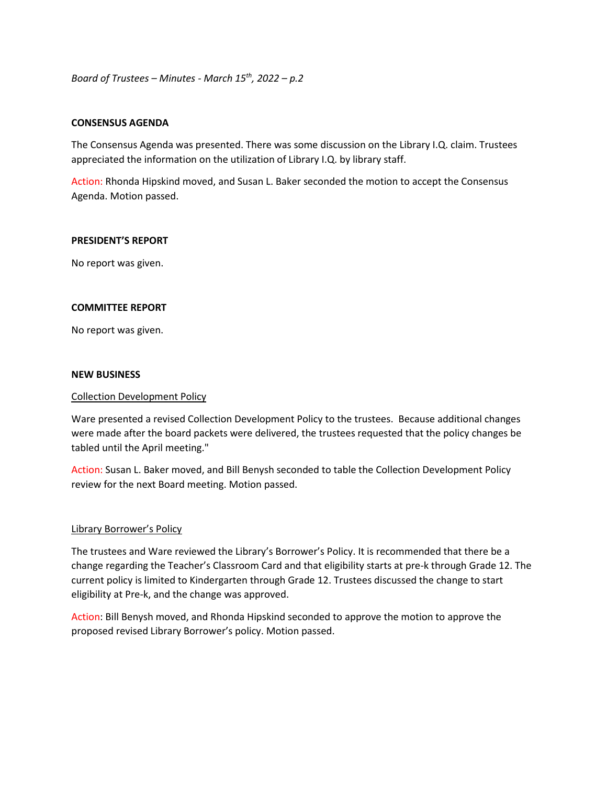*Board of Trustees – Minutes - March 15th, 2022 – p.2*

## **CONSENSUS AGENDA**

The Consensus Agenda was presented. There was some discussion on the Library I.Q. claim. Trustees appreciated the information on the utilization of Library I.Q. by library staff.

Action: Rhonda Hipskind moved, and Susan L. Baker seconded the motion to accept the Consensus Agenda. Motion passed.

## **PRESIDENT'S REPORT**

No report was given.

## **COMMITTEE REPORT**

No report was given.

#### **NEW BUSINESS**

#### Collection Development Policy

Ware presented a revised Collection Development Policy to the trustees. Because additional changes were made after the board packets were delivered, the trustees requested that the policy changes be tabled until the April meeting."

Action: Susan L. Baker moved, and Bill Benysh seconded to table the Collection Development Policy review for the next Board meeting. Motion passed.

## Library Borrower's Policy

The trustees and Ware reviewed the Library's Borrower's Policy. It is recommended that there be a change regarding the Teacher's Classroom Card and that eligibility starts at pre-k through Grade 12. The current policy is limited to Kindergarten through Grade 12. Trustees discussed the change to start eligibility at Pre-k, and the change was approved.

Action: Bill Benysh moved, and Rhonda Hipskind seconded to approve the motion to approve the proposed revised Library Borrower's policy. Motion passed.